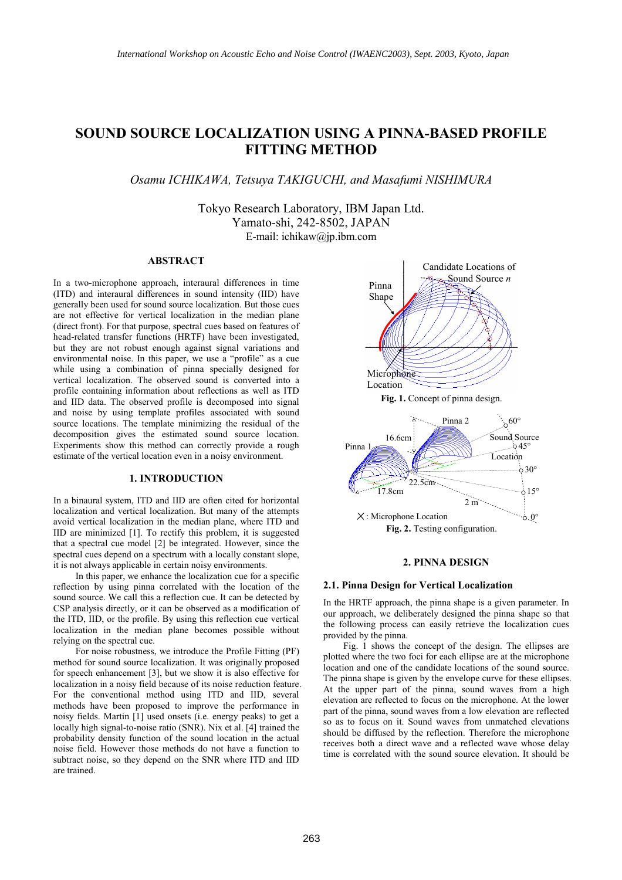# **SOUND SOURCE LOCALIZATION USING A PINNA-BASED PROFILE FITTING METHOD**

*Osamu ICHIKAWA, Tetsuya TAKIGUCHI, and Masafumi NISHIMURA* 

Tokyo Research Laboratory, IBM Japan Ltd. Yamato-shi, 242-8502, JAPAN E-mail: ichikaw@jp.ibm.com

# **ABSTRACT**

In a two-microphone approach, interaural differences in time (ITD) and interaural differences in sound intensity (IID) have generally been used for sound source localization. But those cues are not effective for vertical localization in the median plane (direct front). For that purpose, spectral cues based on features of head-related transfer functions (HRTF) have been investigated, but they are not robust enough against signal variations and environmental noise. In this paper, we use a "profile" as a cue while using a combination of pinna specially designed for vertical localization. The observed sound is converted into a profile containing information about reflections as well as ITD and IID data. The observed profile is decomposed into signal and noise by using template profiles associated with sound source locations. The template minimizing the residual of the decomposition gives the estimated sound source location. Experiments show this method can correctly provide a rough estimate of the vertical location even in a noisy environment.

# **1. INTRODUCTION**

In a binaural system, ITD and IID are often cited for horizontal localization and vertical localization. But many of the attempts avoid vertical localization in the median plane, where ITD and IID are minimized [1]. To rectify this problem, it is suggested that a spectral cue model [2] be integrated. However, since the spectral cues depend on a spectrum with a locally constant slope, it is not always applicable in certain noisy environments.

In this paper, we enhance the localization cue for a specific reflection by using pinna correlated with the location of the sound source. We call this a reflection cue. It can be detected by CSP analysis directly, or it can be observed as a modification of the ITD, IID, or the profile. By using this reflection cue vertical localization in the median plane becomes possible without relying on the spectral cue.

For noise robustness, we introduce the Profile Fitting (PF) method for sound source localization. It was originally proposed for speech enhancement [3], but we show it is also effective for localization in a noisy field because of its noise reduction feature. For the conventional method using ITD and IID, several methods have been proposed to improve the performance in noisy fields. Martin  $[1]$  used onsets (i.e. energy peaks) to get a locally high signal-to-noise ratio (SNR). Nix et al. [4] trained the probability density function of the sound location in the actual noise field. However those methods do not have a function to subtract noise, so they depend on the SNR where ITD and IID are trained.



### **2. PINNA DESIGN**

#### **2.1. Pinna Design for Vertical Localization**

In the HRTF approach, the pinna shape is a given parameter. In our approach, we deliberately designed the pinna shape so that the following process can easily retrieve the localization cues provided by the pinna.

Fig. 1 shows the concept of the design. The ellipses are plotted where the two foci for each ellipse are at the microphone location and one of the candidate locations of the sound source. The pinna shape is given by the envelope curve for these ellipses. At the upper part of the pinna, sound waves from a high elevation are reflected to focus on the microphone. At the lower part of the pinna, sound waves from a low elevation are reflected so as to focus on it. Sound waves from unmatched elevations should be diffused by the reflection. Therefore the microphone receives both a direct wave and a reflected wave whose delay time is correlated with the sound source elevation. It should be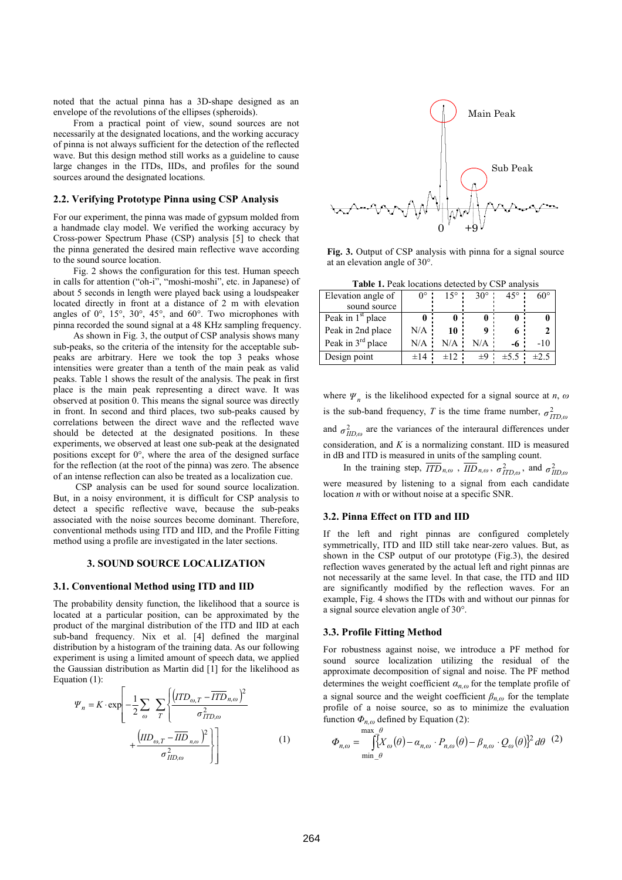noted that the actual pinna has a 3D-shape designed as an envelope of the revolutions of the ellipses (spheroids).

From a practical point of view, sound sources are not necessarily at the designated locations, and the working accuracy of pinna is not always sufficient for the detection of the reflected wave. But this design method still works as a guideline to cause large changes in the ITDs, IIDs, and profiles for the sound sources around the designated locations.

### **2.2. Verifying Prototype Pinna using CSP Analysis**

For our experiment, the pinna was made of gypsum molded from a handmade clay model. We verified the working accuracy by Cross-power Spectrum Phase (CSP) analysis [5] to check that the pinna generated the desired main reflective wave according to the sound source location.

Fig. 2 shows the configuration for this test. Human speech in calls for attention ("oh-i", "moshi-moshi", etc. in Japanese) of about 5 seconds in length were played back using a loudspeaker located directly in front at a distance of 2 m with elevation angles of  $0^\circ$ ,  $15^\circ$ ,  $30^\circ$ ,  $45^\circ$ , and  $60^\circ$ . Two microphones with pinna recorded the sound signal at a 48 KHz sampling frequency.

As shown in Fig. 3, the output of CSP analysis shows many sub-peaks, so the criteria of the intensity for the acceptable subpeaks are arbitrary. Here we took the top 3 peaks whose intensities were greater than a tenth of the main peak as valid peaks. Table 1 shows the result of the analysis. The peak in first place is the main peak representing a direct wave. It was observed at position 0. This means the signal source was directly in front. In second and third places, two sub-peaks caused by correlations between the direct wave and the reflected wave should be detected at the designated positions. In these experiments, we observed at least one sub-peak at the designated positions except for  $0^\circ$ , where the area of the designed surface for the reflection (at the root of the pinna) was zero. The absence of an intense reflection can also be treated as a localization cue.

CSP analysis can be used for sound source localization. But, in a noisy environment, it is difficult for CSP analysis to detect a specific reflective wave, because the sub-peaks associated with the noise sources become dominant. Therefore, conventional methods using ITD and IID, and the Profile Fitting method using a profile are investigated in the later sections.

### **3. SOUND SOURCE LOCALIZATION**

### **3.1. Conventional Method using ITD and IID**

The probability density function, the likelihood that a source is located at a particular position, can be approximated by the product of the marginal distribution of the ITD and IID at each sub-band frequency. Nix et al. [4] defined the marginal distribution by a histogram of the training data. As our following experiment is using a limited amount of speech data, we applied the Gaussian distribution as Martin did [1] for the likelihood as Equation (1):

$$
\Psi_n = K \cdot \exp\left[-\frac{1}{2} \sum_{\omega} \sum_{T} \left\{ \frac{\left( ITD_{\omega,T} - \overline{ITD}_{n,\omega} \right)^2}{\sigma_{ITD,\omega}^2} + \frac{\left( ID_{\omega,T} - \overline{IID}_{n,\omega} \right)^2}{\sigma_{IID,\omega}^2} \right\} \right]
$$
(1)



**Fig. 3.** Output of CSP analysis with pinna for a signal source at an elevation angle of 30°.

**Table 1.** Peak locations detected by CSP analysis

| Elevation angle of            | $0^{\circ}$ . | $15^{\circ}$ | $30^\circ$ | $45^{\circ}$ | $60^{\circ}$ |
|-------------------------------|---------------|--------------|------------|--------------|--------------|
| sound source                  |               |              |            |              |              |
| Peak in 1 <sup>st</sup> place | 0             |              |            |              |              |
| Peak in 2nd place             | N/A           | 10:          |            |              |              |
| Peak in 3 <sup>rd</sup> place | $N/A$ :       | $N/A$ .      | N/A        | -6           | $-10$        |
| Design point                  | $\pm 14$      | $\pm 12$ :   | $\pm 9$ :  | $\pm 5.5$    | $\pm 2.5$    |

where  $\Psi_n$  is the likelihood expected for a signal source at *n*,  $\omega$ is the sub-band frequency, *T* is the time frame number,  $\sigma_{ITD,\omega}^2$ and  $\sigma_{\text{IID}}^2$  are the variances of the interaural differences under consideration, and *K* is a normalizing constant. IID is measured in dB and ITD is measured in units of the sampling count.

In the training step,  $\overline{ITD}_{n,\omega}$ ,  $\overline{IID}_{n,\omega}$ ,  $\sigma^2_{ITD,\omega}$ , and  $\sigma^2_{IID,\omega}$ were measured by listening to a signal from each candidate location *n* with or without noise at a specific SNR.

### **3.2. Pinna Effect on ITD and IID**

If the left and right pinnas are configured completely symmetrically, ITD and IID still take near-zero values. But, as shown in the CSP output of our prototype (Fig.3), the desired reflection waves generated by the actual left and right pinnas are not necessarily at the same level. In that case, the ITD and IID are significantly modified by the reflection waves. For an example, Fig. 4 shows the ITDs with and without our pinnas for a signal source elevation angle of 30°.

#### **3.3. Profile Fitting Method**

For robustness against noise, we introduce a PF method for sound source localization utilizing the residual of the approximate decomposition of signal and noise. The PF method determines the weight coefficient *αn,<sup>ω</sup>* for the template profile of a signal source and the weight coefficient  $\beta_{n,\omega}$  for the template profile of a noise source, so as to minimize the evaluation function  $\Phi_{n,\omega}$  defined by Equation (2):

$$
\Phi_{n,\omega} = \int_{\min_{\theta} \theta}^{\max_{\theta} \theta} \left[ \bar{X}_{\omega}(\theta) - \alpha_{n,\omega} \cdot P_{n,\omega}(\theta) - \beta_{n,\omega} \cdot Q_{\omega}(\theta) \right]^2 d\theta \quad (2)
$$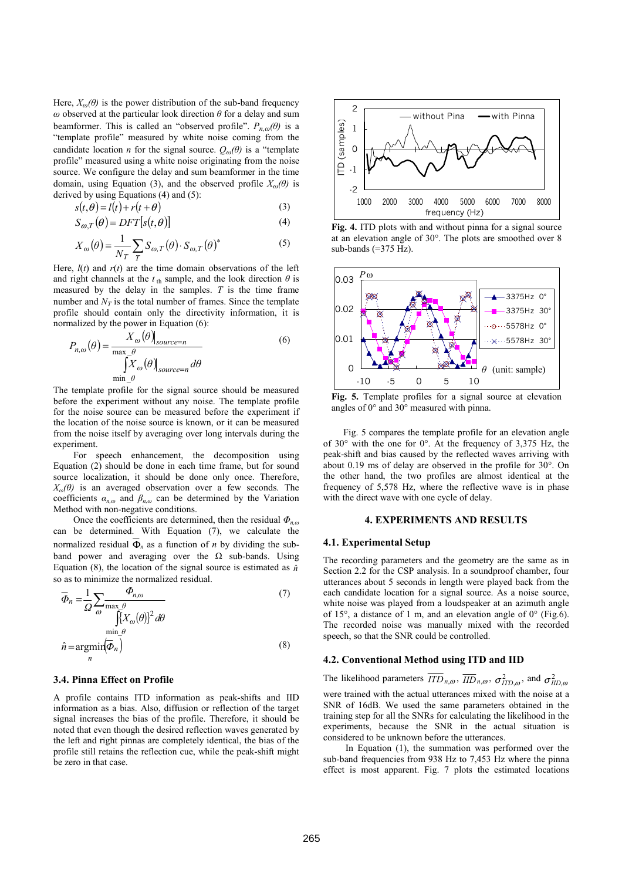Here,  $X_{\omega}(\theta)$  is the power distribution of the sub-band frequency *ω* observed at the particular look direction *θ* for a delay and sum beamformer. This is called an "observed profile".  $P_{n,\omega}(\theta)$  is a "template profile" measured by white noise coming from the candidate location *n* for the signal source.  $Q_{\omega}(\theta)$  is a "template profile" measured using a white noise originating from the noise source. We configure the delay and sum beamformer in the time domain, using Equation (3), and the observed profile  $X_{\omega}(\theta)$  is derived by using Equations (4) and (5):

$$
s(t, \theta) = l(t) + r(t + \theta)
$$
\n(3)

$$
S_{\omega,T}(\theta) = DFT[s(t,\theta)]\tag{4}
$$

$$
X_{\omega}(\theta) = \frac{1}{N_T} \sum_{T} S_{\omega, T}(\theta) \cdot S_{\omega, T}(\theta)^*
$$
 (5)

Here,  $l(t)$  and  $r(t)$  are the time domain observations of the left and right channels at the  $t<sub>th</sub>$  sample, and the look direction  $\theta$  is measured by the delay in the samples. *T* is the time frame number and  $N_T$  is the total number of frames. Since the template profile should contain only the directivity information, it is normalized by the power in Equation (6):

$$
P_{n,\omega}(\theta) = \frac{X_{\omega}(\theta)_{source=n}}{\max_{\substack{\text{max}\\ \text{min}_{\substack{\theta}}}} \theta} \tag{6}
$$

The template profile for the signal source should be measured before the experiment without any noise. The template profile for the noise source can be measured before the experiment if the location of the noise source is known, or it can be measured from the noise itself by averaging over long intervals during the experiment.

For speech enhancement, the decomposition using Equation (2) should be done in each time frame, but for sound source localization, it should be done only once. Therefore,  $X_{\omega}(\theta)$  is an averaged observation over a few seconds. The coefficients  $\alpha_{n,\omega}$  and  $\beta_{n,\omega}$  can be determined by the Variation Method with non-negative conditions.

Once the coefficients are determined, then the residual *Φn,<sup>ω</sup>* can be determined. With Equation (7), we calculate the normalized residual Φ*n* as a function of *n* by dividing the subband power and averaging over the  $\Omega$  sub-bands. Using Equation (8), the location of the signal source is estimated as  $\hat{n}$ so as to minimize the normalized residual.

$$
\overline{\Phi}_n = \frac{1}{\Omega} \sum_{\omega} \frac{\Phi_{n,\omega}}{\max_{\substack{\text{min } \theta \\ \text{min } \theta}} \frac{\Phi_{n,\omega}}{\left(\frac{\gamma}{2} X_{\omega}(\theta)\right)^2 d\theta}} \tag{7}
$$
\n
$$
\hat{n} = \underset{n}{\operatorname{argmin}} \left(\overline{\Phi}_n\right) \tag{8}
$$

### **3.4. Pinna Effect on Profile**

A profile contains ITD information as peak-shifts and IID information as a bias. Also, diffusion or reflection of the target signal increases the bias of the profile. Therefore, it should be noted that even though the desired reflection waves generated by the left and right pinnas are completely identical, the bias of the profile still retains the reflection cue, while the peak-shift might be zero in that case.



**Fig. 4.** ITD plots with and without pinna for a signal source at an elevation angle of 30°. The plots are smoothed over 8 sub-bands (=375 Hz).



**Fig. 5.** Template profiles for a signal source at elevation angles of 0° and 30° measured with pinna.

Fig. 5 compares the template profile for an elevation angle of 30° with the one for 0°. At the frequency of 3,375 Hz, the peak-shift and bias caused by the reflected waves arriving with about 0.19 ms of delay are observed in the profile for 30°. On the other hand, the two profiles are almost identical at the frequency of 5,578 Hz, where the reflective wave is in phase with the direct wave with one cycle of delay.

# **4. EXPERIMENTS AND RESULTS**

### **4.1. Experimental Setup**

The recording parameters and the geometry are the same as in Section 2.2 for the CSP analysis. In a soundproof chamber, four utterances about 5 seconds in length were played back from the each candidate location for a signal source. As a noise source, white noise was played from a loudspeaker at an azimuth angle of 15°, a distance of 1 m, and an elevation angle of 0° (Fig.6). The recorded noise was manually mixed with the recorded speech, so that the SNR could be controlled.

# **4.2. Conventional Method using ITD and IID**

The likelihood parameters  $\overline{ITD}_{n,\omega}$ ,  $\overline{IID}_{n,\omega}$ ,  $\sigma^2_{ITD,\omega}$ , and  $\sigma^2_{IID,\omega}$ were trained with the actual utterances mixed with the noise at a SNR of 16dB. We used the same parameters obtained in the training step for all the SNRs for calculating the likelihood in the experiments, because the SNR in the actual situation is considered to be unknown before the utterances.

In Equation (1), the summation was performed over the sub-band frequencies from 938 Hz to 7,453 Hz where the pinna effect is most apparent. Fig. 7 plots the estimated locations